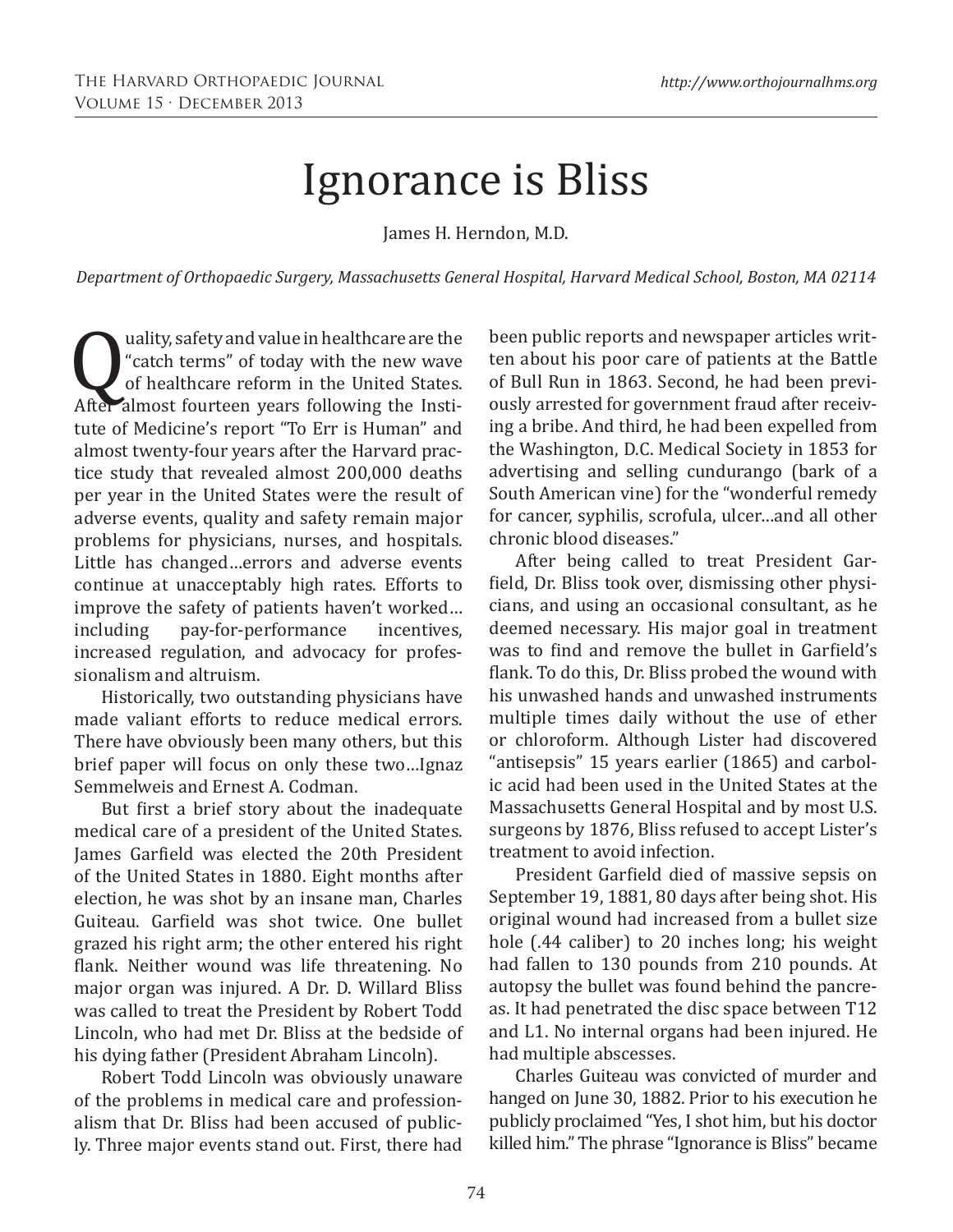## Ignorance is Bliss

James H. Herndon, M.D.

*Department of Orthopaedic Surgery, Massachusetts General Hospital, Harvard Medical School, Boston, MA 02114*

**Q** uality, safety and value in healthcare are the<br>
"catch terms" of today with the new wave<br>
of healthcare reform in the United States.<br>
After almost fourteen years following the Institute of Medicine's wearst "To Ern is "catch terms" of today with the new wave of healthcare reform in the United States. After almost fourteen years following the Institute of Medicine's report "To Err is Human" and almost twenty-four years after the Harvard practice study that revealed almost 200,000 deaths per year in the United States were the result of adverse events, quality and safety remain major problems for physicians, nurses, and hospitals. Little has changed…errors and adverse events continue at unacceptably high rates. Efforts to improve the safety of patients haven't worked...<br>including pay-for-performance incentives, pay-for-performance increased regulation, and advocacy for professionalism and altruism.

Historically, two outstanding physicians have made valiant efforts to reduce medical errors. There have obviously been many others, but this brief paper will focus on only these two…Ignaz Semmelweis and Ernest A. Codman.

But first a brief story about the inadequate medical care of a president of the United States. James Garfield was elected the 20th President of the United States in 1880. Eight months after election, he was shot by an insane man, Charles Guiteau. Garfield was shot twice. One bullet grazed his right arm; the other entered his right flank. Neither wound was life threatening. No major organ was injured. A Dr. D. Willard Bliss was called to treat the President by Robert Todd Lincoln, who had met Dr. Bliss at the bedside of his dying father (President Abraham Lincoln).

Robert Todd Lincoln was obviously unaware of the problems in medical care and professionalism that Dr. Bliss had been accused of publicly. Three major events stand out. First, there had

been public reports and newspaper articles written about his poor care of patients at the Battle of Bull Run in 1863. Second, he had been previously arrested for government fraud after receiving a bribe. And third, he had been expelled from the Washington, D.C. Medical Society in 1853 for advertising and selling cundurango (bark of a South American vine) for the "wonderful remedy for cancer, syphilis, scrofula, ulcer…and all other chronic blood diseases."

After being called to treat President Garfield, Dr. Bliss took over, dismissing other physicians, and using an occasional consultant, as he deemed necessary. His major goal in treatment was to find and remove the bullet in Garfield's flank. To do this, Dr. Bliss probed the wound with his unwashed hands and unwashed instruments multiple times daily without the use of ether or chloroform. Although Lister had discovered "antisepsis" 15 years earlier (1865) and carbolic acid had been used in the United States at the Massachusetts General Hospital and by most U.S. surgeons by 1876, Bliss refused to accept Lister's treatment to avoid infection.

President Garfield died of massive sepsis on September 19, 1881, 80 days after being shot. His original wound had increased from a bullet size hole (.44 caliber) to 20 inches long; his weight had fallen to 130 pounds from 210 pounds. At autopsy the bullet was found behind the pancreas. It had penetrated the disc space between T12 and L1. No internal organs had been injured. He had multiple abscesses.

Charles Guiteau was convicted of murder and hanged on June 30, 1882. Prior to his execution he publicly proclaimed "Yes, I shot him, but his doctor killed him." The phrase "Ignorance is Bliss" became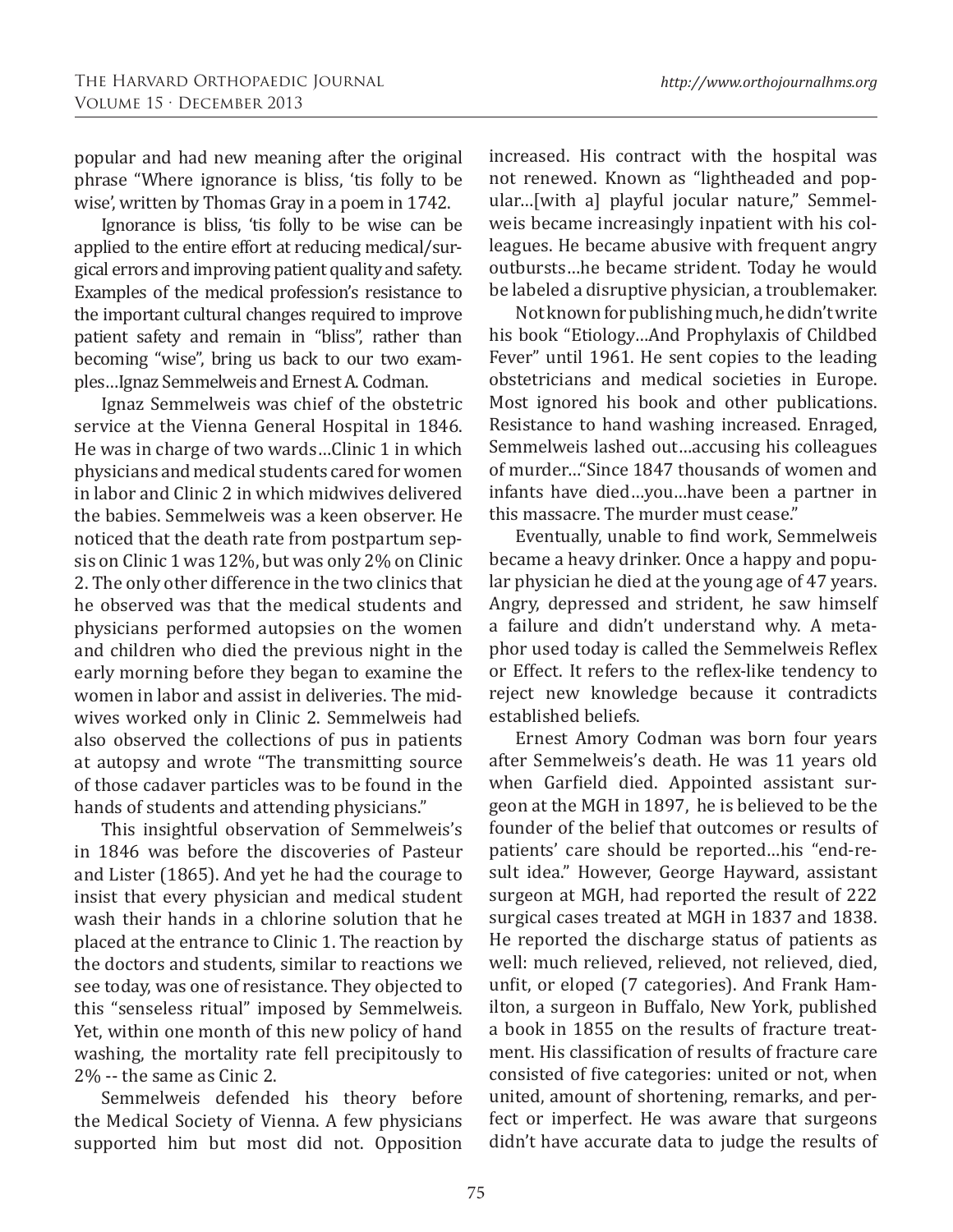popular and had new meaning after the original phrase "Where ignorance is bliss, 'tis folly to be wise', written by Thomas Gray in a poem in 1742.

Ignorance is bliss, 'tis folly to be wise can be applied to the entire effort at reducing medical/surgical errors and improving patient quality and safety. Examples of the medical profession's resistance to the important cultural changes required to improve patient safety and remain in "bliss", rather than becoming "wise", bring us back to our two examples…Ignaz Semmelweis and Ernest A. Codman.

Ignaz Semmelweis was chief of the obstetric service at the Vienna General Hospital in 1846. He was in charge of two wards…Clinic 1 in which physicians and medical students cared for women in labor and Clinic 2 in which midwives delivered the babies. Semmelweis was a keen observer. He noticed that the death rate from postpartum sepsis on Clinic 1 was 12%, but was only 2% on Clinic 2. The only other difference in the two clinics that he observed was that the medical students and physicians performed autopsies on the women and children who died the previous night in the early morning before they began to examine the women in labor and assist in deliveries. The midwives worked only in Clinic 2. Semmelweis had also observed the collections of pus in patients at autopsy and wrote "The transmitting source of those cadaver particles was to be found in the hands of students and attending physicians."

This insightful observation of Semmelweis's in 1846 was before the discoveries of Pasteur and Lister (1865). And yet he had the courage to insist that every physician and medical student wash their hands in a chlorine solution that he placed at the entrance to Clinic 1. The reaction by the doctors and students, similar to reactions we see today, was one of resistance. They objected to this "senseless ritual" imposed by Semmelweis. Yet, within one month of this new policy of hand washing, the mortality rate fell precipitously to 2% -- the same as Cinic 2.

Semmelweis defended his theory before the Medical Society of Vienna. A few physicians supported him but most did not. Opposition increased. His contract with the hospital was not renewed. Known as "lightheaded and popular…[with a] playful jocular nature," Semmelweis became increasingly inpatient with his colleagues. He became abusive with frequent angry outbursts…he became strident. Today he would be labeled a disruptive physician, a troublemaker.

Not known for publishing much, he didn't write his book "Etiology…And Prophylaxis of Childbed Fever" until 1961. He sent copies to the leading obstetricians and medical societies in Europe. Most ignored his book and other publications. Resistance to hand washing increased. Enraged, Semmelweis lashed out…accusing his colleagues of murder…"Since 1847 thousands of women and infants have died…you…have been a partner in this massacre. The murder must cease."

Eventually, unable to find work, Semmelweis became a heavy drinker. Once a happy and popular physician he died at the young age of 47 years. Angry, depressed and strident, he saw himself a failure and didn't understand why. A metaphor used today is called the Semmelweis Reflex or Effect. It refers to the reflex-like tendency to reject new knowledge because it contradicts established beliefs.

Ernest Amory Codman was born four years after Semmelweis's death. He was 11 years old when Garfield died. Appointed assistant surgeon at the MGH in 1897, he is believed to be the founder of the belief that outcomes or results of patients' care should be reported…his "end-result idea." However, George Hayward, assistant surgeon at MGH, had reported the result of 222 surgical cases treated at MGH in 1837 and 1838. He reported the discharge status of patients as well: much relieved, relieved, not relieved, died, unfit, or eloped (7 categories). And Frank Hamilton, a surgeon in Buffalo, New York, published a book in 1855 on the results of fracture treatment. His classification of results of fracture care consisted of five categories: united or not, when united, amount of shortening, remarks, and perfect or imperfect. He was aware that surgeons didn't have accurate data to judge the results of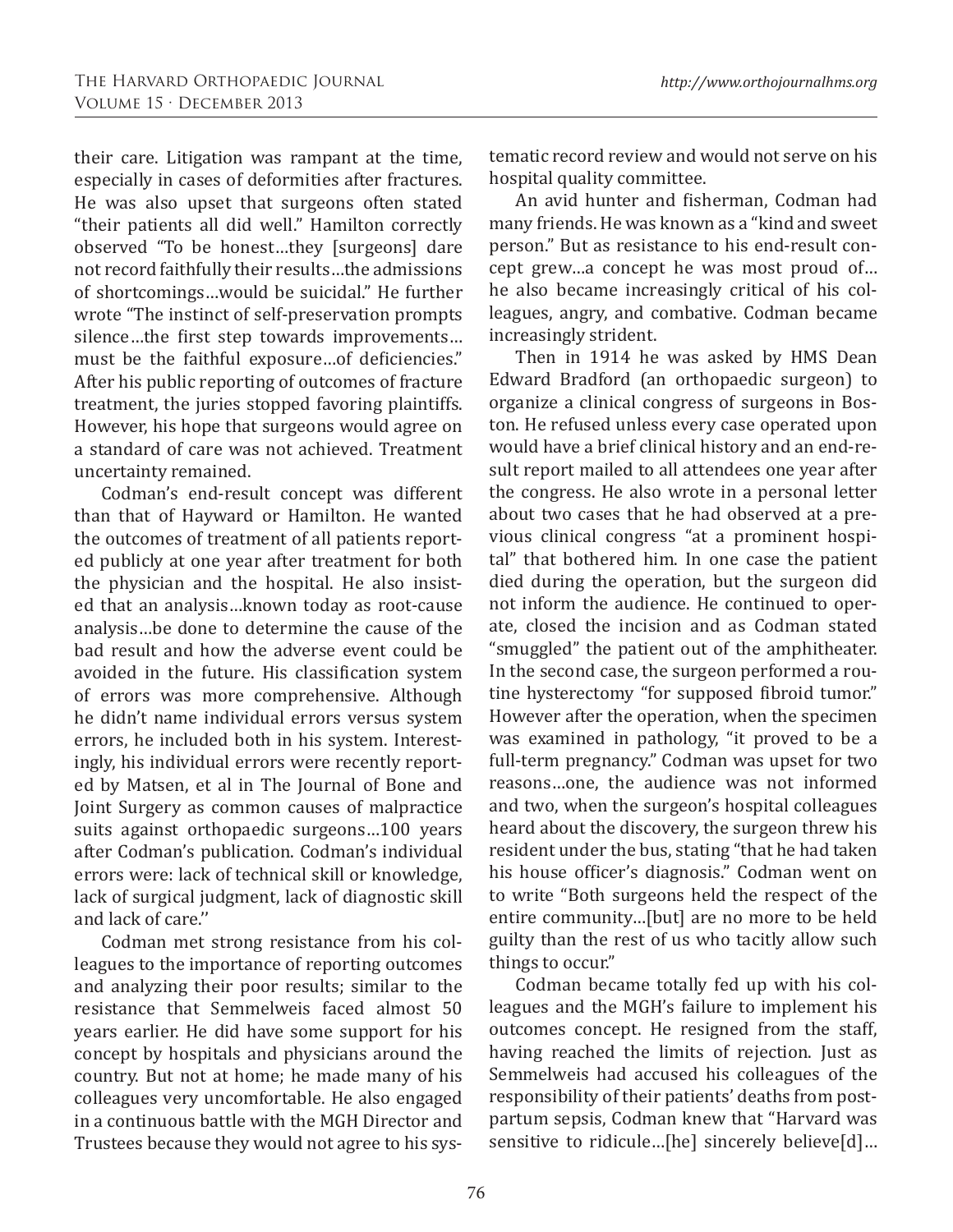their care. Litigation was rampant at the time, especially in cases of deformities after fractures. He was also upset that surgeons often stated "their patients all did well." Hamilton correctly observed "To be honest…they [surgeons] dare not record faithfully their results…the admissions of shortcomings…would be suicidal." He further wrote "The instinct of self-preservation prompts silence…the first step towards improvements… must be the faithful exposure…of deficiencies." After his public reporting of outcomes of fracture treatment, the juries stopped favoring plaintiffs. However, his hope that surgeons would agree on a standard of care was not achieved. Treatment uncertainty remained.

Codman's end-result concept was different than that of Hayward or Hamilton. He wanted the outcomes of treatment of all patients reported publicly at one year after treatment for both the physician and the hospital. He also insisted that an analysis…known today as root-cause analysis…be done to determine the cause of the bad result and how the adverse event could be avoided in the future. His classification system of errors was more comprehensive. Although he didn't name individual errors versus system errors, he included both in his system. Interestingly, his individual errors were recently reported by Matsen, et al in The Journal of Bone and Joint Surgery as common causes of malpractice suits against orthopaedic surgeons…100 years after Codman's publication. Codman's individual errors were: lack of technical skill or knowledge, lack of surgical judgment, lack of diagnostic skill and lack of care.''

Codman met strong resistance from his colleagues to the importance of reporting outcomes and analyzing their poor results; similar to the resistance that Semmelweis faced almost 50 years earlier. He did have some support for his concept by hospitals and physicians around the country. But not at home; he made many of his colleagues very uncomfortable. He also engaged in a continuous battle with the MGH Director and Trustees because they would not agree to his systematic record review and would not serve on his hospital quality committee.

An avid hunter and fisherman, Codman had many friends. He was known as a "kind and sweet person." But as resistance to his end-result concept grew…a concept he was most proud of… he also became increasingly critical of his colleagues, angry, and combative. Codman became increasingly strident.

Then in 1914 he was asked by HMS Dean Edward Bradford (an orthopaedic surgeon) to organize a clinical congress of surgeons in Boston. He refused unless every case operated upon would have a brief clinical history and an end-result report mailed to all attendees one year after the congress. He also wrote in a personal letter about two cases that he had observed at a previous clinical congress "at a prominent hospital" that bothered him. In one case the patient died during the operation, but the surgeon did not inform the audience. He continued to operate, closed the incision and as Codman stated "smuggled" the patient out of the amphitheater. In the second case, the surgeon performed a routine hysterectomy "for supposed fibroid tumor." However after the operation, when the specimen was examined in pathology, "it proved to be a full-term pregnancy." Codman was upset for two reasons…one, the audience was not informed and two, when the surgeon's hospital colleagues heard about the discovery, the surgeon threw his resident under the bus, stating "that he had taken his house officer's diagnosis." Codman went on to write "Both surgeons held the respect of the entire community…[but] are no more to be held guilty than the rest of us who tacitly allow such things to occur."

Codman became totally fed up with his colleagues and the MGH's failure to implement his outcomes concept. He resigned from the staff, having reached the limits of rejection. Just as Semmelweis had accused his colleagues of the responsibility of their patients' deaths from postpartum sepsis, Codman knew that "Harvard was sensitive to ridicule...[he] sincerely believe[d]...